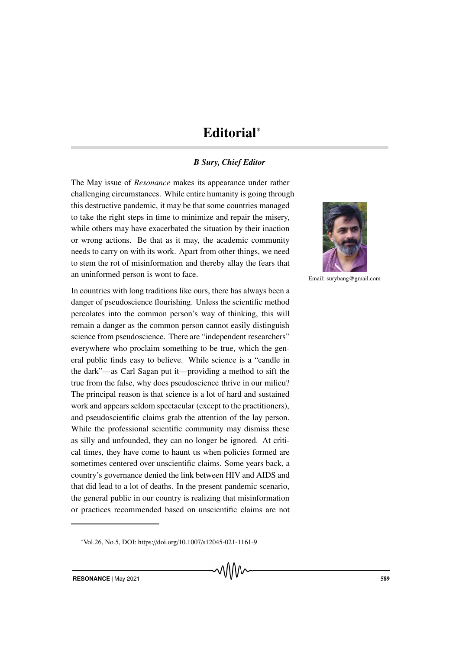## Editorial<sup>∗</sup>

## *B Sury, Chief Editor*

The May issue of *Resonance* makes its appearance under rather challenging circumstances. While entire humanity is going through this destructive pandemic, it may be that some countries managed to take the right steps in time to minimize and repair the misery, while others may have exacerbated the situation by their inaction or wrong actions. Be that as it may, the academic community needs to carry on with its work. Apart from other things, we need to stem the rot of misinformation and thereby allay the fears that an uninformed person is wont to face.

In countries with long traditions like ours, there has always been a danger of pseudoscience flourishing. Unless the scientific method percolates into the common person's way of thinking, this will remain a danger as the common person cannot easily distinguish science from pseudoscience. There are "independent researchers" everywhere who proclaim something to be true, which the general public finds easy to believe. While science is a "candle in the dark"—as Carl Sagan put it—providing a method to sift the true from the false, why does pseudoscience thrive in our milieu? The principal reason is that science is a lot of hard and sustained work and appears seldom spectacular (except to the practitioners), and pseudoscientific claims grab the attention of the lay person. While the professional scientific community may dismiss these as silly and unfounded, they can no longer be ignored. At critical times, they have come to haunt us when policies formed are sometimes centered over unscientific claims. Some years back, a country's governance denied the link between HIV and AIDS and that did lead to a lot of deaths. In the present pandemic scenario, the general public in our country is realizing that misinformation or practices recommended based on unscientific claims are not





Email: surybang@gmail.com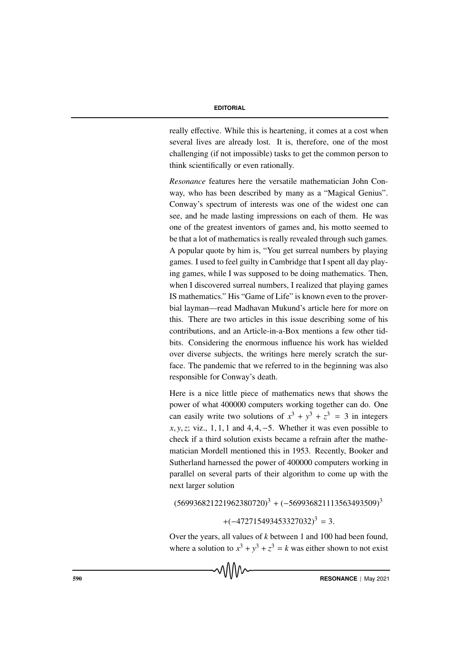## **EDITORIAL**

really effective. While this is heartening, it comes at a cost when several lives are already lost. It is, therefore, one of the most challenging (if not impossible) tasks to get the common person to think scientifically or even rationally.

*Resonance* features here the versatile mathematician John Conway, who has been described by many as a "Magical Genius". Conway's spectrum of interests was one of the widest one can see, and he made lasting impressions on each of them. He was one of the greatest inventors of games and, his motto seemed to be that a lot of mathematics is really revealed through such games. A popular quote by him is, "You get surreal numbers by playing games. I used to feel guilty in Cambridge that I spent all day playing games, while I was supposed to be doing mathematics. Then, when I discovered surreal numbers, I realized that playing games IS mathematics." His "Game of Life" is known even to the proverbial layman—read Madhavan Mukund's article here for more on this. There are two articles in this issue describing some of his contributions, and an Article-in-a-Box mentions a few other tidbits. Considering the enormous influence his work has wielded over diverse subjects, the writings here merely scratch the surface. The pandemic that we referred to in the beginning was also responsible for Conway's death.

Here is a nice little piece of mathematics news that shows the power of what 400000 computers working together can do. One can easily write two solutions of  $x^3 + y^3 + z^3 = 3$  in integers *x*, *y*, *z*; viz., 1, 1, 1 and 4, 4, -5. Whether it was even possible to check if a third solution exists became a refrain after the mathematician Mordell mentioned this in 1953. Recently, Booker and Sutherland harnessed the power of 400000 computers working in parallel on several parts of their algorithm to come up with the next larger solution

 $(569936821221962380720)^3 + (-569936821113563493509)^3$ 

 $+(-472715493453327032)^3 = 3.$ 

Over the years, all values of *k* between 1 and 100 had been found, where a solution to  $x^3 + y^3 + z^3 = k$  was either shown to not exist